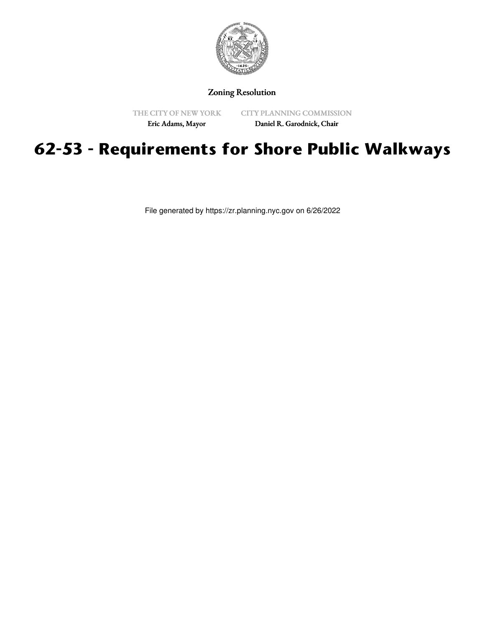

Zoning Resolution

THE CITY OF NEW YORK

CITY PLANNING COMMISSION

Eric Adams, Mayor

Daniel R. Garodnick, Chair

## **62-53 - Requirements for Shore Public Walkways**

File generated by https://zr.planning.nyc.gov on 6/26/2022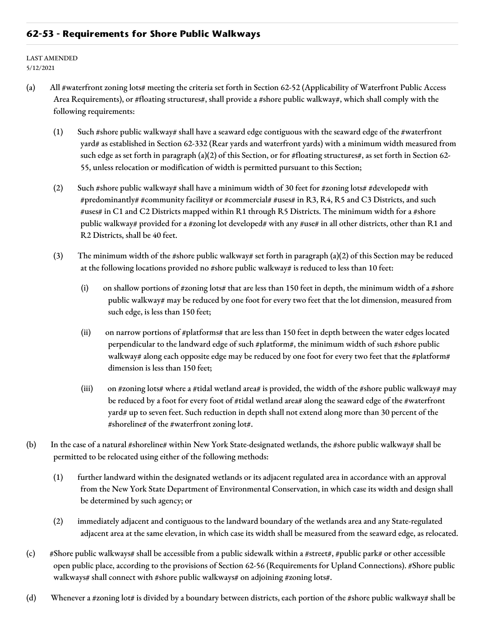## **62-53 - Requirements for Shore Public Walkways**

LAST AMENDED 5/12/2021

- (a) All #waterfront zoning lots# meeting the criteria set forth in Section 62-52 (Applicability of Waterfront Public Access Area Requirements), or #floating structures#, shall provide a #shore public walkway#, which shall comply with the following requirements:
	- (1) Such #shore public walkway# shall have a seaward edge contiguous with the seaward edge of the #waterfront yard# as established in Section 62-332 (Rear yards and waterfront yards) with a minimum width measured from such edge as set forth in paragraph (a)(2) of this Section, or for #floating structures#, as set forth in Section 62- 55, unless relocation or modification of width is permitted pursuant to this Section;
	- (2) Such #shore public walkway# shall have a minimum width of 30 feet for #zoning lots# #developed# with #predominantly# #community facility# or #commercial# #uses# in R3, R4, R5 and C3 Districts, and such #uses# in C1 and C2 Districts mapped within R1 through R5 Districts. The minimum width for a #shore public walkway# provided for a #zoning lot developed# with any #use# in all other districts, other than R1 and R2 Districts, shall be 40 feet.
	- (3) The minimum width of the #shore public walkway# set forth in paragraph (a)(2) of this Section may be reduced at the following locations provided no #shore public walkway# is reduced to less than 10 feet:
		- (i) on shallow portions of #zoning lots# that are less than 150 feet in depth, the minimum width of a #shore public walkway# may be reduced by one foot for every two feet that the lot dimension, measured from such edge, is less than 150 feet;
		- (ii) on narrow portions of #platforms# that are less than 150 feet in depth between the water edges located perpendicular to the landward edge of such #platform#, the minimum width of such #shore public walkway# along each opposite edge may be reduced by one foot for every two feet that the #platform# dimension is less than 150 feet;
		- (iii) on #zoning lots# where a #tidal wetland area# is provided, the width of the #shore public walkway# may be reduced by a foot for every foot of #tidal wetland area# along the seaward edge of the #waterfront yard# up to seven feet. Such reduction in depth shall not extend along more than 30 percent of the #shoreline# of the #waterfront zoning lot#.
- (b) In the case of a natural #shoreline# within New York State-designated wetlands, the #shore public walkway# shall be permitted to be relocated using either of the following methods:
	- (1) further landward within the designated wetlands or its adjacent regulated area in accordance with an approval from the New York State Department of Environmental Conservation, in which case its width and design shall be determined by such agency; or
	- (2) immediately adjacent and contiguous to the landward boundary of the wetlands area and any State-regulated adjacent area at the same elevation, in which case its width shall be measured from the seaward edge, as relocated.
- (c) #Shore public walkways# shall be accessible from a public sidewalk within a #street#, #public park# or other accessible open public place, according to the provisions of Section 62-56 (Requirements for Upland Connections). #Shore public walkways# shall connect with #shore public walkways# on adjoining #zoning lots#.
- (d) Whenever a #zoning lot# is divided by a boundary between districts, each portion of the #shore public walkway# shall be